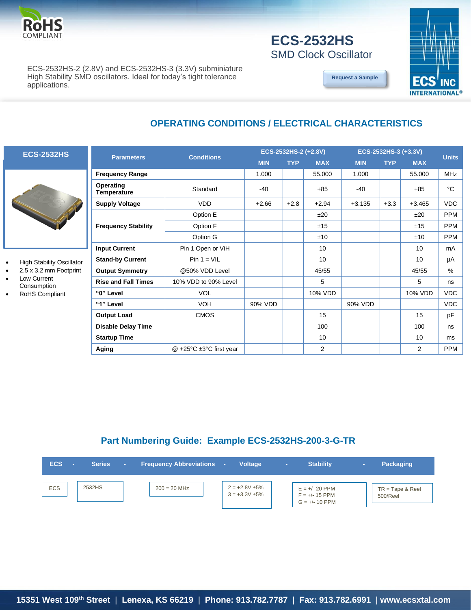

### **ECS-2532HS** SMD Clock Oscillator

ECS-2532HS-2 (2.8V) and ECS-2532HS-3 (3.3V) subminiature High Stability SMD oscillators. Ideal for today's tight tolerance applications.

**[Request a Sample](http://ecsxtalportal.com/samplepilot/samplerequest.php)**



# **ECS-2532HS**

- **High Stability Oscillator**
- 2.5 x 3.2 mm Footprint
- Low Current
- Consumption
- RoHS Compliant

| <b>Parameters</b>                   | <b>Conditions</b>                          | ECS-2532HS-2 (+2.8V) |            |            | ECS-2532HS-3 (+3.3V) | <b>Units</b> |            |             |
|-------------------------------------|--------------------------------------------|----------------------|------------|------------|----------------------|--------------|------------|-------------|
|                                     |                                            | <b>MIN</b>           | <b>TYP</b> | <b>MAX</b> | <b>MIN</b>           | <b>TYP</b>   | <b>MAX</b> |             |
| <b>Frequency Range</b>              |                                            | 1.000                |            | 55.000     | 1.000                |              | 55.000     | <b>MHz</b>  |
| Operating<br><b>Temperature</b>     | Standard                                   | $-40$                |            | $+85$      | $-40$                |              | $+85$      | $^{\circ}C$ |
| <b>Supply Voltage</b><br><b>VDD</b> |                                            | $+2.66$              | $+2.8$     | $+2.94$    | $+3.135$             | $+3.3$       | $+3.465$   | <b>VDC</b>  |
|                                     | Option E                                   |                      |            | ±20        |                      |              | ±20        | <b>PPM</b>  |
| <b>Frequency Stability</b>          | Option F                                   |                      |            | ±15        |                      |              | ±15        | <b>PPM</b>  |
|                                     | Option G                                   |                      |            | ±10        |                      |              | ±10        | <b>PPM</b>  |
| <b>Input Current</b>                | Pin 1 Open or ViH                          |                      |            | 10         |                      |              | 10         | mA          |
| <b>Stand-by Current</b>             | $Pin 1 = VIL$                              |                      |            | 10         |                      |              | 10         | μA          |
| <b>Output Symmetry</b>              | @50% VDD Level                             |                      |            | 45/55      |                      |              | 45/55      | %           |
| <b>Rise and Fall Times</b>          | 10% VDD to 90% Level                       |                      |            | 5          |                      |              | 5          | ns          |
| "0" Level                           | <b>VOL</b>                                 |                      |            | 10% VDD    |                      |              | 10% VDD    | <b>VDC</b>  |
| "1" Level                           | <b>VOH</b>                                 | 90% VDD              |            |            | 90% VDD              |              |            | <b>VDC</b>  |
| <b>Output Load</b>                  | <b>CMOS</b>                                |                      |            | 15         |                      |              | 15         | pF          |
| <b>Disable Delay Time</b>           |                                            |                      |            | 100        |                      |              | 100        | ns          |
| <b>Startup Time</b>                 |                                            |                      |            | 10         |                      |              | 10         | ms          |
| Aging                               | $@ +25^{\circ}C \pm 3^{\circ}C$ first year |                      |            | 2          |                      |              | 2          | <b>PPM</b>  |

**OPERATING CONDITIONS / ELECTRICAL CHARACTERISTICS**

### **Part Numbering Guide: Example ECS-2532HS-200-3-G-TR**

| <b>ECS</b> | <b>Series</b> | <b>Frequency Abbreviations</b> | <b>Voltage</b>                             | <b>COL</b> | <b>Stability</b>                                         | <b>Packaging</b>               |
|------------|---------------|--------------------------------|--------------------------------------------|------------|----------------------------------------------------------|--------------------------------|
| <b>ECS</b> | 2532HS        | $200 = 20$ MHz                 | $2 = +2.8V \pm 5\%$<br>$3 = +3.3V \pm 5\%$ |            | $E = +/- 20$ PPM<br>$F = +/- 15$ PPM<br>$G = +/- 10$ PPM | $TR = Tape & Reel$<br>500/Reel |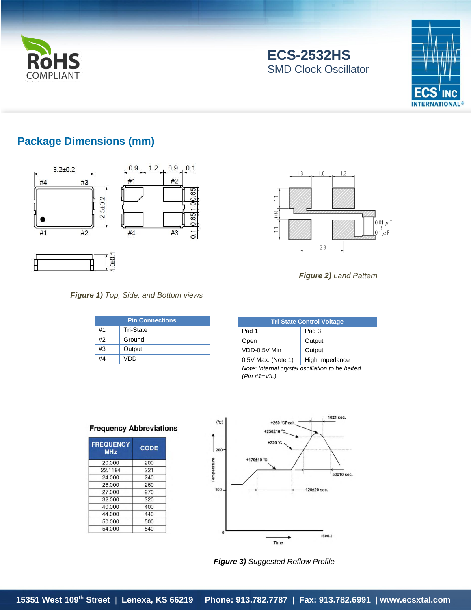

# **ECS-2532HS** SMD Clock Oscillator



### **Package Dimensions (mm)**



### *Figure 1) Top, Side, and Bottom views*

| <b>Pin Connections</b> |                  |  |  |
|------------------------|------------------|--|--|
| #1                     | <b>Tri-State</b> |  |  |
| #2                     | Ground           |  |  |
| #3                     | Output           |  |  |
| #4                     | VDD              |  |  |



*Figure 2) Land Pattern*

| <b>Tri-State Control Voltage</b> |                |  |  |  |
|----------------------------------|----------------|--|--|--|
| Pad 1                            | Pad 3          |  |  |  |
| Open                             | Output         |  |  |  |
| VDD-0.5V Min                     | Output         |  |  |  |
| 0.5V Max. (Note 1)               | High Impedance |  |  |  |

*Note: Internal crystal oscillation to be halted (Pin #1=VIL)*

**Frequency Abbreviations** 

| <b>FREQUENCY</b><br><b>MHz</b> | <b>CODE</b> |  |  |
|--------------------------------|-------------|--|--|
| 20,000                         | 200         |  |  |
| 22.1184                        | 221         |  |  |
| 24,000                         | 240         |  |  |
| 26,000                         | 260         |  |  |
| 27,000                         | 270         |  |  |
| 32.000                         | 320         |  |  |
| 40.000                         | 400         |  |  |
| 44.000                         | 440         |  |  |
| 50.000                         | 500         |  |  |
| 54.000                         | 540         |  |  |
|                                |             |  |  |



*Figure 3) Suggested Reflow Profile*